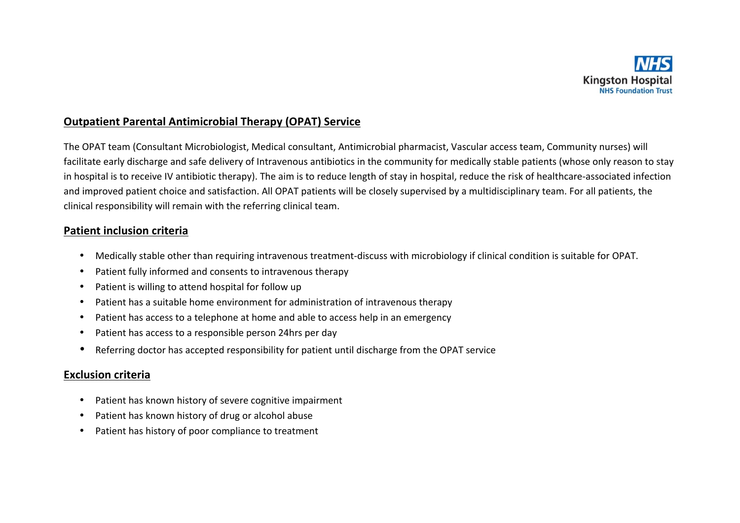

# **Outpatient Parental Antimicrobial Therapy (OPAT) Service**

The OPAT team (Consultant Microbiologist, Medical consultant, Antimicrobial pharmacist, Vascular access team, Community nurses) will facilitate early discharge and safe delivery of Intravenous antibiotics in the community for medically stable patients (whose only reason to stay in hospital is to receive IV antibiotic therapy). The aim is to reduce length of stay in hospital, reduce the risk of healthcare-associated infection and improved patient choice and satisfaction. All OPAT patients will be closely supervised by a multidisciplinary team. For all patients, the clinical responsibility will remain with the referring clinical team.

## **Patient inclusion criteria**

- Medically stable other than requiring intravenous treatment-discuss with microbiology if clinical condition is suitable for OPAT.
- Patient fully informed and consents to intravenous therapy
- Patient is willing to attend hospital for follow up
- Patient has a suitable home environment for administration of intravenous therapy
- Patient has access to a telephone at home and able to access help in an emergency
- Patient has access to a responsible person 24hrs per day
- Referring doctor has accepted responsibility for patient until discharge from the OPAT service

## **Exclusion criteria**

- Patient has known history of severe cognitive impairment
- Patient has known history of drug or alcohol abuse
- Patient has history of poor compliance to treatment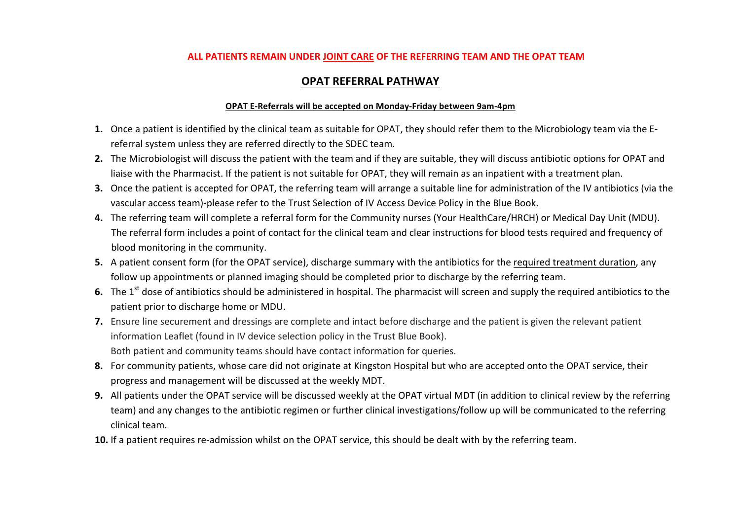#### **ALL PATIENTS REMAIN UNDER JOINT CARE OF THE REFERRING TEAM AND THE OPAT TEAM**

## **OPAT REFERRAL PATHWAY**

#### **OPAT E-Referrals will be accepted on Monday-Friday between 9am-4pm**

- 1. Once a patient is identified by the clinical team as suitable for OPAT, they should refer them to the Microbiology team via the Ereferral system unless they are referred directly to the SDEC team.
- **2.** The Microbiologist will discuss the patient with the team and if they are suitable, they will discuss antibiotic options for OPAT and liaise with the Pharmacist. If the patient is not suitable for OPAT, they will remain as an inpatient with a treatment plan.
- **3.** Once the patient is accepted for OPAT, the referring team will arrange a suitable line for administration of the IV antibiotics (via the vascular access team)-please refer to the Trust Selection of IV Access Device Policy in the Blue Book.
- 4. The referring team will complete a referral form for the Community nurses (Your HealthCare/HRCH) or Medical Day Unit (MDU). The referral form includes a point of contact for the clinical team and clear instructions for blood tests required and frequency of blood monitoring in the community.
- **5.** A patient consent form (for the OPAT service), discharge summary with the antibiotics for the required treatment duration, any follow up appointments or planned imaging should be completed prior to discharge by the referring team.
- 6. The 1<sup>st</sup> dose of antibiotics should be administered in hospital. The pharmacist will screen and supply the required antibiotics to the patient prior to discharge home or MDU.
- **7.** Ensure line securement and dressings are complete and intact before discharge and the patient is given the relevant patient information Leaflet (found in IV device selection policy in the Trust Blue Book). Both patient and community teams should have contact information for queries.
- 8. For community patients, whose care did not originate at Kingston Hospital but who are accepted onto the OPAT service, their progress and management will be discussed at the weekly MDT.
- **9.** All patients under the OPAT service will be discussed weekly at the OPAT virtual MDT (in addition to clinical review by the referring team) and any changes to the antibiotic regimen or further clinical investigations/follow up will be communicated to the referring clinical team.
- **10.** If a patient requires re-admission whilst on the OPAT service, this should be dealt with by the referring team.